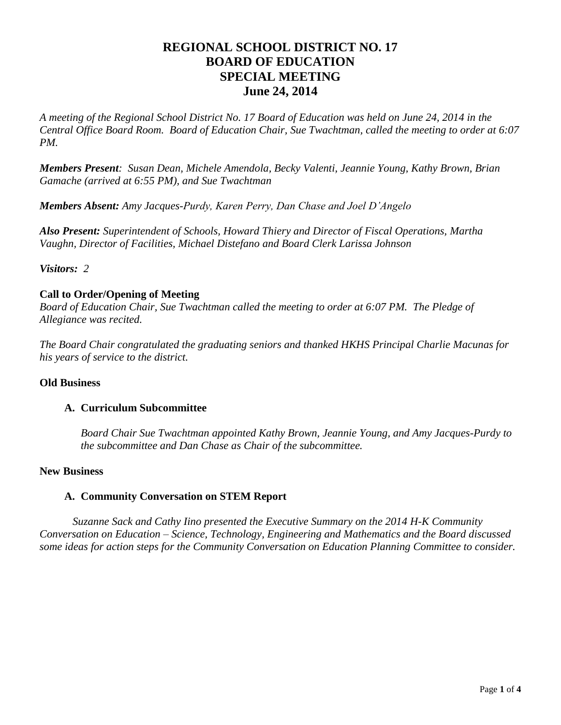# **REGIONAL SCHOOL DISTRICT NO. 17 BOARD OF EDUCATION SPECIAL MEETING June 24, 2014**

*A meeting of the Regional School District No. 17 Board of Education was held on June 24, 2014 in the Central Office Board Room. Board of Education Chair, Sue Twachtman, called the meeting to order at 6:07 PM.*

*Members Present: Susan Dean, Michele Amendola, Becky Valenti, Jeannie Young, Kathy Brown, Brian Gamache (arrived at 6:55 PM), and Sue Twachtman*

*Members Absent: Amy Jacques-Purdy, Karen Perry, Dan Chase and Joel D'Angelo*

*Also Present: Superintendent of Schools, Howard Thiery and Director of Fiscal Operations, Martha Vaughn, Director of Facilities, Michael Distefano and Board Clerk Larissa Johnson*

*Visitors: 2*

# **Call to Order/Opening of Meeting**

*Board of Education Chair, Sue Twachtman called the meeting to order at 6:07 PM. The Pledge of Allegiance was recited.*

*The Board Chair congratulated the graduating seniors and thanked HKHS Principal Charlie Macunas for his years of service to the district.*

# **Old Business**

# **A. Curriculum Subcommittee**

*Board Chair Sue Twachtman appointed Kathy Brown, Jeannie Young, and Amy Jacques-Purdy to the subcommittee and Dan Chase as Chair of the subcommittee.*

# **New Business**

# **A. Community Conversation on STEM Report**

*Suzanne Sack and Cathy Iino presented the Executive Summary on the 2014 H-K Community Conversation on Education – Science, Technology, Engineering and Mathematics and the Board discussed some ideas for action steps for the Community Conversation on Education Planning Committee to consider.*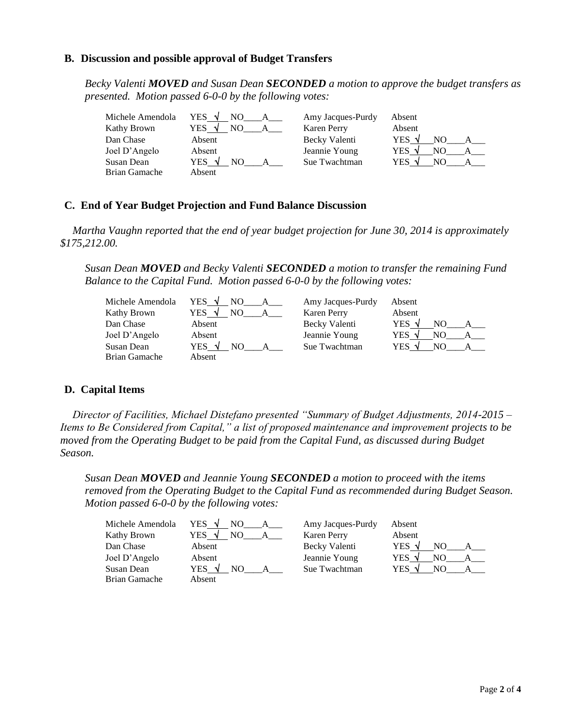#### **B. Discussion and possible approval of Budget Transfers**

*Becky Valenti MOVED and Susan Dean SECONDED a motion to approve the budget transfers as presented. Motion passed 6-0-0 by the following votes:*

| Michele Amendola | YES V<br>NO.         | Amy Jacques-Purdy  | Absent               |
|------------------|----------------------|--------------------|----------------------|
| Kathy Brown      | YES                  | <b>Karen Perry</b> | Absent               |
| Dan Chase        | Absent               | Becky Valenti      | YES $\sqrt{}$<br>NO. |
| Joel D'Angelo    | Absent               | Jeannie Young      | YES √<br>NO          |
| Susan Dean       | YES $\sqrt{}$<br>NO. | Sue Twachtman      | YES                  |
| Brian Gamache    | Absent               |                    |                      |

#### **C. End of Year Budget Projection and Fund Balance Discussion**

*Martha Vaughn reported that the end of year budget projection for June 30, 2014 is approximately \$175,212.00.*

*Susan Dean MOVED and Becky Valenti SECONDED a motion to transfer the remaining Fund Balance to the Capital Fund. Motion passed 6-0-0 by the following votes:*

| Michele Amendola | YES $\sqrt{ }$<br>NO. | Amy Jacques-Purdy  | Absent        |
|------------------|-----------------------|--------------------|---------------|
| Kathy Brown      | YES                   | <b>Karen Perry</b> | Absent        |
| Dan Chase        | Absent                | Becky Valenti      | YES $\sqrt{}$ |
| Joel D'Angelo    | Absent                | Jeannie Young      | YES √<br>NO.  |
| Susan Dean       | YES $\sqrt{ }$<br>NO. | Sue Twachtman      | YES √<br>NO   |
| Brian Gamache    | Absent                |                    |               |

# **D. Capital Items**

*Director of Facilities, Michael Distefano presented "Summary of Budget Adjustments, 2014-2015 – Items to Be Considered from Capital," a list of proposed maintenance and improvement projects to be moved from the Operating Budget to be paid from the Capital Fund, as discussed during Budget Season.*

*Susan Dean MOVED and Jeannie Young SECONDED a motion to proceed with the items removed from the Operating Budget to the Capital Fund as recommended during Budget Season. Motion passed 6-0-0 by the following votes:*

| Michele Amendola | YES V  | Amy Jacques-Purdy | Absent         |
|------------------|--------|-------------------|----------------|
| Kathy Brown      | YES .  | Karen Perry       | Absent         |
| Dan Chase        | Absent | Becky Valenti     | YES $\sqrt{ }$ |
| Joel D'Angelo    | Absent | Jeannie Young     | YES V<br>NO.   |
| Susan Dean       | YES √  | Sue Twachtman     | YES √<br>NO.   |
| Brian Gamache    | Absent |                   |                |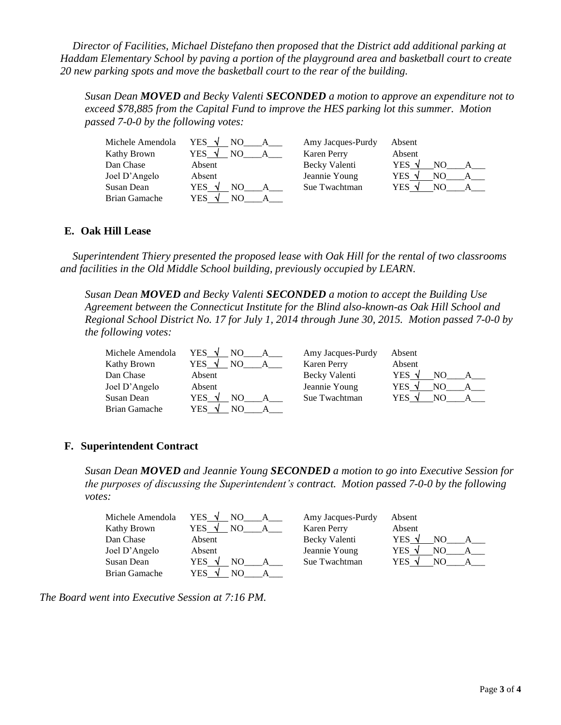*Director of Facilities, Michael Distefano then proposed that the District add additional parking at Haddam Elementary School by paving a portion of the playground area and basketball court to create 20 new parking spots and move the basketball court to the rear of the building.* 

*Susan Dean MOVED and Becky Valenti SECONDED a motion to approve an expenditure not to exceed \$78,885 from the Capital Fund to improve the HES parking lot this summer. Motion passed 7-0-0 by the following votes:*

| Michele Amendola | YES V<br>NO.          | Amy Jacques-Purdy  | Absent       |
|------------------|-----------------------|--------------------|--------------|
| Kathy Brown      | YES.<br>NΟ            | <b>Karen Perry</b> | Absent       |
| Dan Chase        | Absent                | Becky Valenti      | YES √<br>NΟ  |
| Joel D'Angelo    | Absent                | Jeannie Young      | YES √<br>NO  |
| Susan Dean       | YES<br>NО<br>$\Delta$ | Sue Twachtman      | YES √<br>NO. |
| Brian Gamache    | YES<br>NO.            |                    |              |

# **E. Oak Hill Lease**

*Superintendent Thiery presented the proposed lease with Oak Hill for the rental of two classrooms and facilities in the Old Middle School building, previously occupied by LEARN.* 

*Susan Dean MOVED and Becky Valenti SECONDED a motion to accept the Building Use Agreement between the Connecticut Institute for the Blind also-known-as Oak Hill School and Regional School District No. 17 for July 1, 2014 through June 30, 2015. Motion passed 7-0-0 by the following votes:*

| Michele Amendola<br>Kathy Brown | YES V<br>N <sub>O</sub><br>YES<br>N | Amy Jacques-Purdy<br><b>Karen Perry</b> | Absent<br>Absent       |
|---------------------------------|-------------------------------------|-----------------------------------------|------------------------|
|                                 |                                     |                                         |                        |
| Dan Chase                       | Absent                              | Becky Valenti                           | YES $\sqrt{ }$<br>NO   |
| Joel D'Angelo                   | Absent                              | Jeannie Young                           | YES <sup>*</sup><br>NO |
| Susan Dean                      | YES.<br>NO.<br>٨I                   | Sue Twachtman                           | YES √<br>NΩ            |
| Brian Gamache                   | YES<br>NO                           |                                         |                        |

# **F. Superintendent Contract**

*Susan Dean MOVED and Jeannie Young SECONDED a motion to go into Executive Session for the purposes of discussing the Superintendent's contract. Motion passed 7-0-0 by the following votes:*

| Michele Amendola | YES V<br>NO.                | Amy Jacques-Purdy  | Absent                |
|------------------|-----------------------------|--------------------|-----------------------|
| Kathy Brown      | YES.<br>NO<br>$\mathcal{N}$ | <b>Karen Perry</b> | Absent                |
| Dan Chase        | Absent                      | Becky Valenti      | YES $\sqrt{ }$<br>NO. |
| Joel D'Angelo    | Absent                      | Jeannie Young      | YES V                 |
| Susan Dean       | YES<br>NO                   | Sue Twachtman      | YES<br>NO.            |
| Brian Gamache    | YES<br>NО                   |                    |                       |

*The Board went into Executive Session at 7:16 PM.*